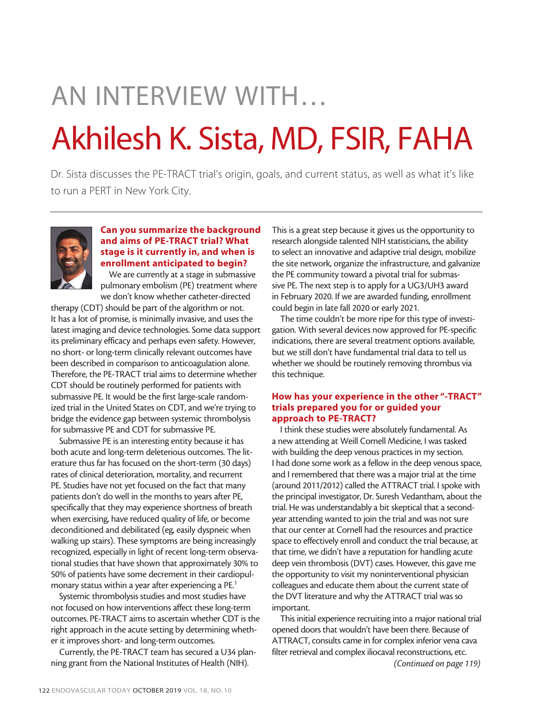# AN INTERVIEW WITH… Akhilesh K. Sista, MD, FSIR, FAHA

Dr. Sista discusses the PE-TRACT trial's origin, goals, and current status, as well as what it's like to run a PERT in New York City.



### Can you summarize the background and aims of PE-TRACT trial? What stage is it currently in, and when is enrollment anticipated to begin?

We are currently at a stage in submassive pulmonary embolism (PE) treatment where we don't know whether catheter-directed

therapy (CDT) should be part of the algorithm or not. It has a lot of promise, is minimally invasive, and uses the latest imaging and device technologies. Some data support its preliminary efficacy and perhaps even safety. However, no short- or long-term clinically relevant outcomes have been described in comparison to anticoagulation alone. Therefore, the PE-TRACT trial aims to determine whether CDT should be routinely performed for patients with submassive PE. It would be the first large-scale randomized trial in the United States on CDT, and we're trying to bridge the evidence gap between systemic thrombolysis for submassive PE and CDT for submassive PE.

Submassive PE is an interesting entity because it has both acute and long-term deleterious outcomes. The literature thus far has focused on the short-term (30 days) rates of clinical deterioration, mortality, and recurrent PE. Studies have not yet focused on the fact that many patients don't do well in the months to years after PE, specifically that they may experience shortness of breath when exercising, have reduced quality of life, or become deconditioned and debilitated (eg, easily dyspneic when walking up stairs). These symptoms are being increasingly recognized, especially in light of recent long-term observational studies that have shown that approximately 30% to 50% of patients have some decrement in their cardiopulmonary status within a year after experiencing a PE.1

Systemic thrombolysis studies and most studies have not focused on how interventions affect these long-term outcomes. PE-TRACT aims to ascertain whether CDT is the right approach in the acute setting by determining whether it improves short- and long-term outcomes.

Currently, the PE-TRACT team has secured a U34 planning grant from the National Institutes of Health (NIH).

This is a great step because it gives us the opportunity to research alongside talented NIH statisticians, the ability to select an innovative and adaptive trial design, mobilize the site network, organize the infrastructure, and galvanize the PE community toward a pivotal trial for submassive PE. The next step is to apply for a UG3/UH3 award in February 2020. If we are awarded funding, enrollment could begin in late fall 2020 or early 2021.

The time couldn't be more ripe for this type of investigation. With several devices now approved for PE-specific indications, there are several treatment options available, but we still don't have fundamental trial data to tell us whether we should be routinely removing thrombus via this technique.

## How has your experience in the other "-TRACT" trials prepared you for or guided your approach to PE-TRACT?

I think these studies were absolutely fundamental. As a new attending at Weill Cornell Medicine, I was tasked with building the deep venous practices in my section. I had done some work as a fellow in the deep venous space, and I remembered that there was a major trial at the time (around 2011/2012) called the ATTRACT trial. I spoke with the principal investigator, Dr. Suresh Vedantham, about the trial. He was understandably a bit skeptical that a secondyear attending wanted to join the trial and was not sure that our center at Cornell had the resources and practice space to effectively enroll and conduct the trial because, at that time, we didn't have a reputation for handling acute deep vein thrombosis (DVT) cases. However, this gave me the opportunity to visit my noninterventional physician colleagues and educate them about the current state of the DVT literature and why the ATTRACT trial was so important.

This initial experience recruiting into a major national trial opened doors that wouldn't have been there. Because of ATTRACT, consults came in for complex inferior vena cava filter retrieval and complex iliocaval reconstructions, etc.

*(Continued on page 119)*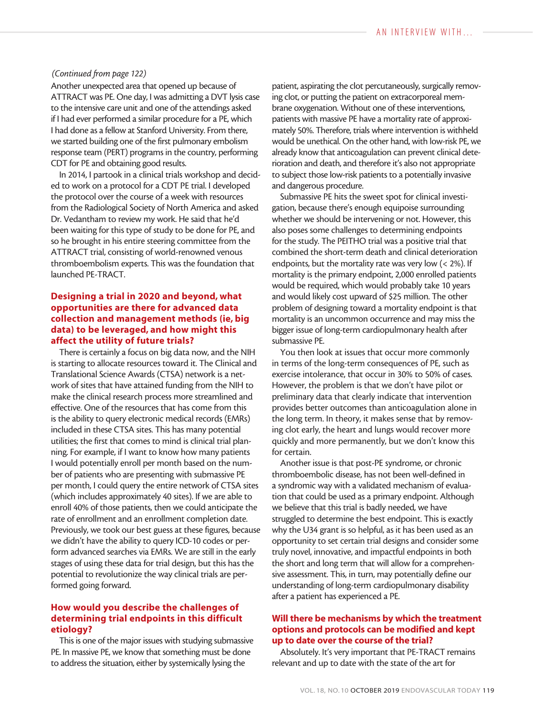#### *(Continued from page 122)*

Another unexpected area that opened up because of ATTRACT was PE. One day, I was admitting a DVT lysis case to the intensive care unit and one of the attendings asked if I had ever performed a similar procedure for a PE, which I had done as a fellow at Stanford University. From there, we started building one of the first pulmonary embolism response team (PERT) programs in the country, performing CDT for PE and obtaining good results.

In 2014, I partook in a clinical trials workshop and decided to work on a protocol for a CDT PE trial. I developed the protocol over the course of a week with resources from the Radiological Society of North America and asked Dr. Vedantham to review my work. He said that he'd been waiting for this type of study to be done for PE, and so he brought in his entire steering committee from the ATTRACT trial, consisting of world-renowned venous thromboembolism experts. This was the foundation that launched PE-TRACT.

#### Designing a trial in 2020 and beyond, what opportunities are there for advanced data collection and management methods (ie, big data) to be leveraged, and how might this affect the utility of future trials?

There is certainly a focus on big data now, and the NIH is starting to allocate resources toward it. The Clinical and Translational Science Awards (CTSA) network is a network of sites that have attained funding from the NIH to make the clinical research process more streamlined and effective. One of the resources that has come from this is the ability to query electronic medical records (EMRs) included in these CTSA sites. This has many potential utilities; the first that comes to mind is clinical trial planning. For example, if I want to know how many patients I would potentially enroll per month based on the number of patients who are presenting with submassive PE per month, I could query the entire network of CTSA sites (which includes approximately 40 sites). If we are able to enroll 40% of those patients, then we could anticipate the rate of enrollment and an enrollment completion date. Previously, we took our best guess at these figures, because we didn't have the ability to query ICD-10 codes or perform advanced searches via EMRs. We are still in the early stages of using these data for trial design, but this has the potential to revolutionize the way clinical trials are performed going forward.

## How would you describe the challenges of determining trial endpoints in this difficult etiology?

This is one of the major issues with studying submassive PE. In massive PE, we know that something must be done to address the situation, either by systemically lysing the

patient, aspirating the clot percutaneously, surgically removing clot, or putting the patient on extracorporeal membrane oxygenation. Without one of these interventions, patients with massive PE have a mortality rate of approximately 50%. Therefore, trials where intervention is withheld would be unethical. On the other hand, with low-risk PE, we already know that anticoagulation can prevent clinical deterioration and death, and therefore it's also not appropriate to subject those low-risk patients to a potentially invasive and dangerous procedure.

Submassive PE hits the sweet spot for clinical investigation, because there's enough equipoise surrounding whether we should be intervening or not. However, this also poses some challenges to determining endpoints for the study. The PEITHO trial was a positive trial that combined the short-term death and clinical deterioration endpoints, but the mortality rate was very low (< 2%). If mortality is the primary endpoint, 2,000 enrolled patients would be required, which would probably take 10 years and would likely cost upward of \$25 million. The other problem of designing toward a mortality endpoint is that mortality is an uncommon occurrence and may miss the bigger issue of long-term cardiopulmonary health after submassive PE.

You then look at issues that occur more commonly in terms of the long-term consequences of PE, such as exercise intolerance, that occur in 30% to 50% of cases. However, the problem is that we don't have pilot or preliminary data that clearly indicate that intervention provides better outcomes than anticoagulation alone in the long term. In theory, it makes sense that by removing clot early, the heart and lungs would recover more quickly and more permanently, but we don't know this for certain.

Another issue is that post-PE syndrome, or chronic thromboembolic disease, has not been well-defined in a syndromic way with a validated mechanism of evaluation that could be used as a primary endpoint. Although we believe that this trial is badly needed, we have struggled to determine the best endpoint. This is exactly why the U34 grant is so helpful, as it has been used as an opportunity to set certain trial designs and consider some truly novel, innovative, and impactful endpoints in both the short and long term that will allow for a comprehensive assessment. This, in turn, may potentially define our understanding of long-term cardiopulmonary disability after a patient has experienced a PE.

## Will there be mechanisms by which the treatment options and protocols can be modified and kept up to date over the course of the trial?

Absolutely. It's very important that PE-TRACT remains relevant and up to date with the state of the art for